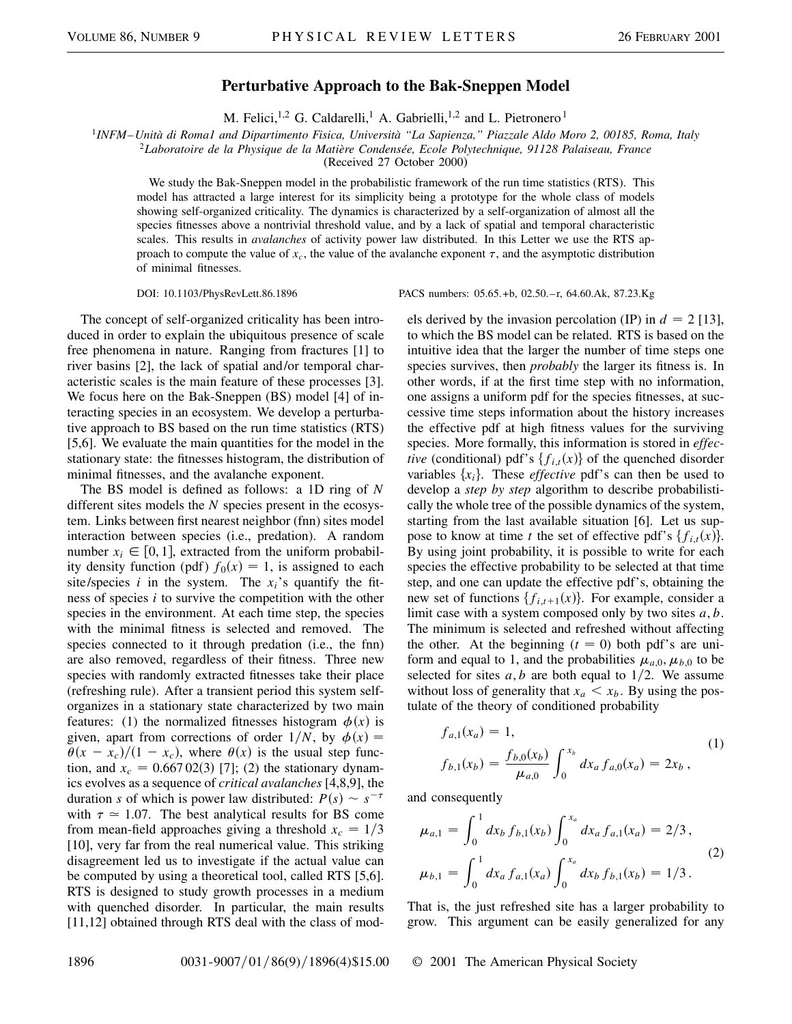## **Perturbative Approach to the Bak-Sneppen Model**

M. Felici,<sup>1,2</sup> G. Caldarelli,<sup>1</sup> A. Gabrielli,<sup>1,2</sup> and L. Pietronero<sup>1</sup>

<sup>1</sup>*INFM–Unità di Roma1 and Dipartimento Fisica, Università "La Sapienza," Piazzale Aldo Moro 2, 00185, Roma, Italy*

<sup>2</sup>*Laboratoire de la Physique de la Matière Condensée, Ecole Polytechnique, 91128 Palaiseau, France*

(Received 27 October 2000)

We study the Bak-Sneppen model in the probabilistic framework of the run time statistics (RTS). This model has attracted a large interest for its simplicity being a prototype for the whole class of models showing self-organized criticality. The dynamics is characterized by a self-organization of almost all the species fitnesses above a nontrivial threshold value, and by a lack of spatial and temporal characteristic scales. This results in *avalanches* of activity power law distributed. In this Letter we use the RTS approach to compute the value of  $x_c$ , the value of the avalanche exponent  $\tau$ , and the asymptotic distribution of minimal fitnesses.

DOI: 10.1103/PhysRevLett.86.1896 PACS numbers: 05.65.+b, 02.50.–r, 64.60.Ak, 87.23.Kg

The concept of self-organized criticality has been introduced in order to explain the ubiquitous presence of scale free phenomena in nature. Ranging from fractures [1] to river basins [2], the lack of spatial and/or temporal characteristic scales is the main feature of these processes [3]. We focus here on the Bak-Sneppen (BS) model [4] of interacting species in an ecosystem. We develop a perturbative approach to BS based on the run time statistics (RTS) [5,6]. We evaluate the main quantities for the model in the stationary state: the fitnesses histogram, the distribution of minimal fitnesses, and the avalanche exponent.

The BS model is defined as follows: a 1D ring of *N* different sites models the *N* species present in the ecosystem. Links between first nearest neighbor (fnn) sites model interaction between species (i.e., predation). A random number  $x_i \in [0, 1]$ , extracted from the uniform probability density function (pdf)  $f_0(x) = 1$ , is assigned to each site/species  $i$  in the system. The  $x_i$ 's quantify the fitness of species *i* to survive the competition with the other species in the environment. At each time step, the species with the minimal fitness is selected and removed. The species connected to it through predation (i.e., the fnn) are also removed, regardless of their fitness. Three new species with randomly extracted fitnesses take their place (refreshing rule). After a transient period this system selforganizes in a stationary state characterized by two main features: (1) the normalized fitnesses histogram  $\phi(x)$  is given, apart from corrections of order  $1/N$ , by  $\phi(x) =$  $\theta(x - x_c)/(1 - x_c)$ , where  $\theta(x)$  is the usual step function, and  $x_c = 0.66702(3)$  [7]; (2) the stationary dynamics evolves as a sequence of *critical avalanches* [4,8,9], the duration *s* of which is power law distributed:  $P(s) \sim s^{-\tau}$ with  $\tau \approx 1.07$ . The best analytical results for BS come from mean-field approaches giving a threshold  $x_c = 1/3$ [10], very far from the real numerical value. This striking disagreement led us to investigate if the actual value can be computed by using a theoretical tool, called RTS [5,6]. RTS is designed to study growth processes in a medium with quenched disorder. In particular, the main results [11,12] obtained through RTS deal with the class of modto which the BS model can be related. RTS is based on the intuitive idea that the larger the number of time steps one species survives, then *probably* the larger its fitness is. In other words, if at the first time step with no information, one assigns a uniform pdf for the species fitnesses, at successive time steps information about the history increases the effective pdf at high fitness values for the surviving species. More formally, this information is stored in *effective* (conditional) pdf's  $\{f_{i,t}(x)\}\$  of the quenched disorder variables  $\{x_i\}$ . These *effective* pdf's can then be used to develop a *step by step* algorithm to describe probabilistically the whole tree of the possible dynamics of the system, starting from the last available situation [6]. Let us suppose to know at time *t* the set of effective pdf's  $\{f_{i,t}(x)\}.$ By using joint probability, it is possible to write for each species the effective probability to be selected at that time step, and one can update the effective pdf's, obtaining the new set of functions  $\{f_{i,t+1}(x)\}\$ . For example, consider a limit case with a system composed only by two sites *a*, *b*. The minimum is selected and refreshed without affecting the other. At the beginning  $(t = 0)$  both pdf's are uniform and equal to 1, and the probabilities  $\mu_{a,0}, \mu_{b,0}$  to be selected for sites  $a, b$  are both equal to  $1/2$ . We assume without loss of generality that  $x_a < x_b$ . By using the postulate of the theory of conditioned probability

els derived by the invasion percolation (IP) in  $d = 2$  [13],

$$
f_{a,1}(x_a) = 1,
$$
  
\n
$$
f_{b,1}(x_b) = \frac{f_{b,0}(x_b)}{\mu_{a,0}} \int_0^{x_b} dx_a f_{a,0}(x_a) = 2x_b,
$$
\n(1)

and consequently

$$
\mu_{a,1} = \int_0^1 dx_b f_{b,1}(x_b) \int_0^{x_a} dx_a f_{a,1}(x_a) = 2/3,
$$
  

$$
\mu_{b,1} = \int_0^1 dx_a f_{a,1}(x_a) \int_0^{x_a} dx_b f_{b,1}(x_b) = 1/3.
$$
 (2)

That is, the just refreshed site has a larger probability to grow. This argument can be easily generalized for any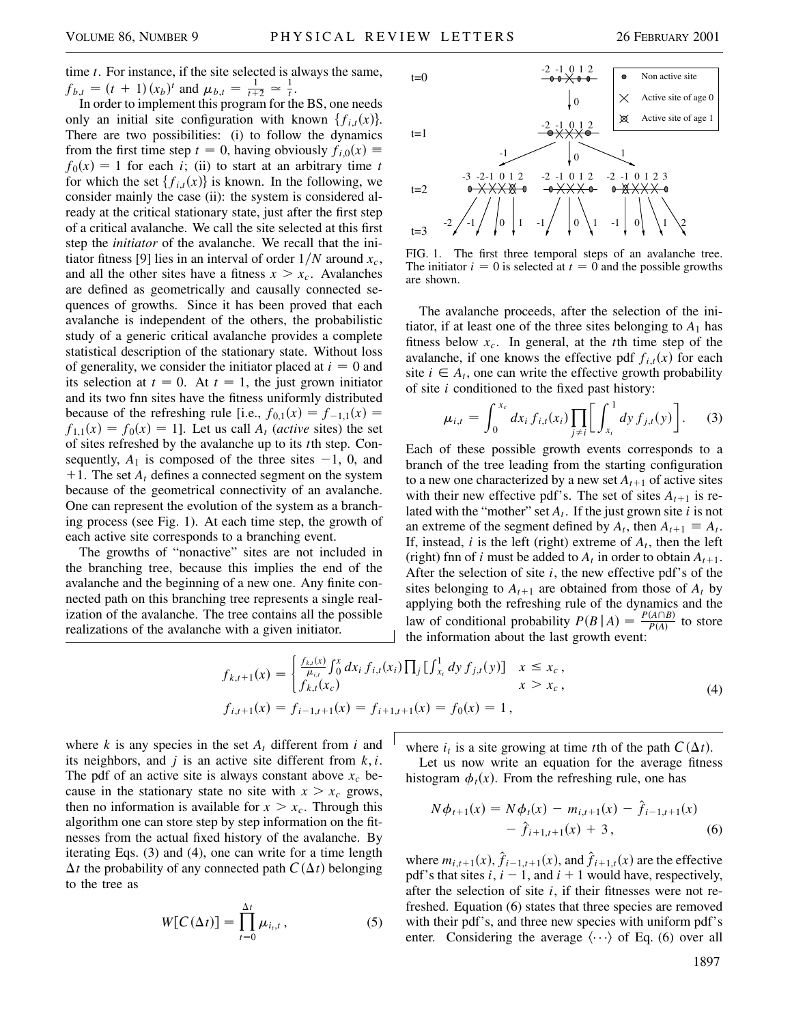time *t*. For instance, if the site selected is always the same,  $f_{b,t} = (t + 1)(x_b)^t$  and  $\mu_{b,t} = \frac{1}{t+2} \approx \frac{1}{t}$ .

In order to implement this program for the BS, one needs only an initial site configuration with known  $\{f_{i,t}(x)\}.$ There are two possibilities: (i) to follow the dynamics from the first time step  $t = 0$ , having obviously  $f_{i,0}(x) \equiv$  $f_0(x) = 1$  for each *i*; (ii) to start at an arbitrary time *t* for which the set  $\{f_{i,t}(x)\}\$ is known. In the following, we consider mainly the case (ii): the system is considered already at the critical stationary state, just after the first step of a critical avalanche. We call the site selected at this first step the *initiator* of the avalanche. We recall that the initiator fitness [9] lies in an interval of order  $1/N$  around  $x_c$ , and all the other sites have a fitness  $x > x_c$ . Avalanches are defined as geometrically and causally connected sequences of growths. Since it has been proved that each avalanche is independent of the others, the probabilistic study of a generic critical avalanche provides a complete statistical description of the stationary state. Without loss of generality, we consider the initiator placed at  $i = 0$  and its selection at  $t = 0$ . At  $t = 1$ , the just grown initiator and its two fnn sites have the fitness uniformly distributed because of the refreshing rule [i.e.,  $f_{0,1}(x) = f_{-1,1}(x) = f_{-1,2}(x)$  $f_{1,1}(x) = f_0(x) = 1$ . Let us call  $A_t$  (*active* sites) the set of sites refreshed by the avalanche up to its *t*th step. Consequently,  $A_1$  is composed of the three sites  $-1$ , 0, and  $+1$ . The set  $A_t$  defines a connected segment on the system because of the geometrical connectivity of an avalanche. One can represent the evolution of the system as a branching process (see Fig. 1). At each time step, the growth of each active site corresponds to a branching event.

The growths of "nonactive" sites are not included in the branching tree, because this implies the end of the avalanche and the beginning of a new one. Any finite connected path on this branching tree represents a single realization of the avalanche. The tree contains all the possible realizations of the avalanche with a given initiator.



FIG. 1. The first three temporal steps of an avalanche tree. The initiator  $i = 0$  is selected at  $t = 0$  and the possible growths are shown.

The avalanche proceeds, after the selection of the initiator, if at least one of the three sites belonging to  $A_1$  has fitness below  $x_c$ . In general, at the *t*th time step of the avalanche, if one knows the effective pdf  $f_{i,t}(x)$  for each site  $i \in A_t$ , one can write the effective growth probability of site *i* conditioned to the fixed past history:

$$
\mu_{i,t} = \int_0^{x_c} dx_i f_{i,t}(x_i) \prod_{j \neq i} \left[ \int_{x_i}^1 dy f_{j,t}(y) \right].
$$
 (3)

Each of these possible growth events corresponds to a branch of the tree leading from the starting configuration to a new one characterized by a new set  $A_{t+1}$  of active sites with their new effective pdf's. The set of sites  $A_{t+1}$  is related with the "mother" set *At*. If the just grown site *i* is not an extreme of the segment defined by  $A_t$ , then  $A_{t+1} \equiv A_t$ . If, instead,  $i$  is the left (right) extreme of  $A_t$ , then the left (right) finn of *i* must be added to  $A_t$  in order to obtain  $A_{t+1}$ . After the selection of site *i*, the new effective pdf's of the sites belonging to  $A_{t+1}$  are obtained from those of  $A_t$  by applying both the refreshing rule of the dynamics and the law of conditional probability  $P(B | A) = \frac{P(A \cap B)}{P(A)}$  to store the information about the last growth event:

$$
f_{k,t+1}(x) = \begin{cases} \frac{f_{k,t}(x)}{\mu_{i,t}} \int_0^x dx_i f_{i,t}(x_i) \prod_j \left[ \int_{x_i}^1 dy f_{j,t}(y) \right] & x \le x_c, \\ f_{k,t}(x_c) & x > x_c, \end{cases}
$$
  
(4)  

$$
f_{i,t+1}(x) = f_{i-1,t+1}(x) = f_{i+1,t+1}(x) = f_0(x) = 1,
$$

where  $k$  is any species in the set  $A_t$  different from  $i$  and its neighbors, and *j* is an active site different from *k*, *i*. The pdf of an active site is always constant above  $x_c$  because in the stationary state no site with  $x > x_c$  grows, then no information is available for  $x > x_c$ . Through this algorithm one can store step by step information on the fitnesses from the actual fixed history of the avalanche. By iterating Eqs. (3) and (4), one can write for a time length  $\Delta t$  the probability of any connected path  $C(\Delta t)$  belonging to the tree as

$$
W[C(\Delta t)] = \prod_{t=0}^{\Delta t} \mu_{i_t, t}, \qquad (5)
$$

where  $i_t$  is a site growing at time *t*th of the path  $C(\Delta t)$ .

Let us now write an equation for the average fitness histogram  $\phi_t(x)$ . From the refreshing rule, one has

$$
N\phi_{t+1}(x) = N\phi_t(x) - m_{i,t+1}(x) - \hat{f}_{i-1,t+1}(x)
$$
  
-  $\hat{f}_{i+1,t+1}(x) + 3$ , (6)

where  $m_{i,t+1}(x)$ ,  $\hat{f}_{i-1,t+1}(x)$ , and  $\hat{f}_{i+1,t}(x)$  are the effective pdf's that sites  $i$ ,  $i - 1$ , and  $i + 1$  would have, respectively, after the selection of site *i*, if their fitnesses were not refreshed. Equation (6) states that three species are removed with their pdf's, and three new species with uniform pdf's enter. Considering the average  $\langle \cdots \rangle$  of Eq. (6) over all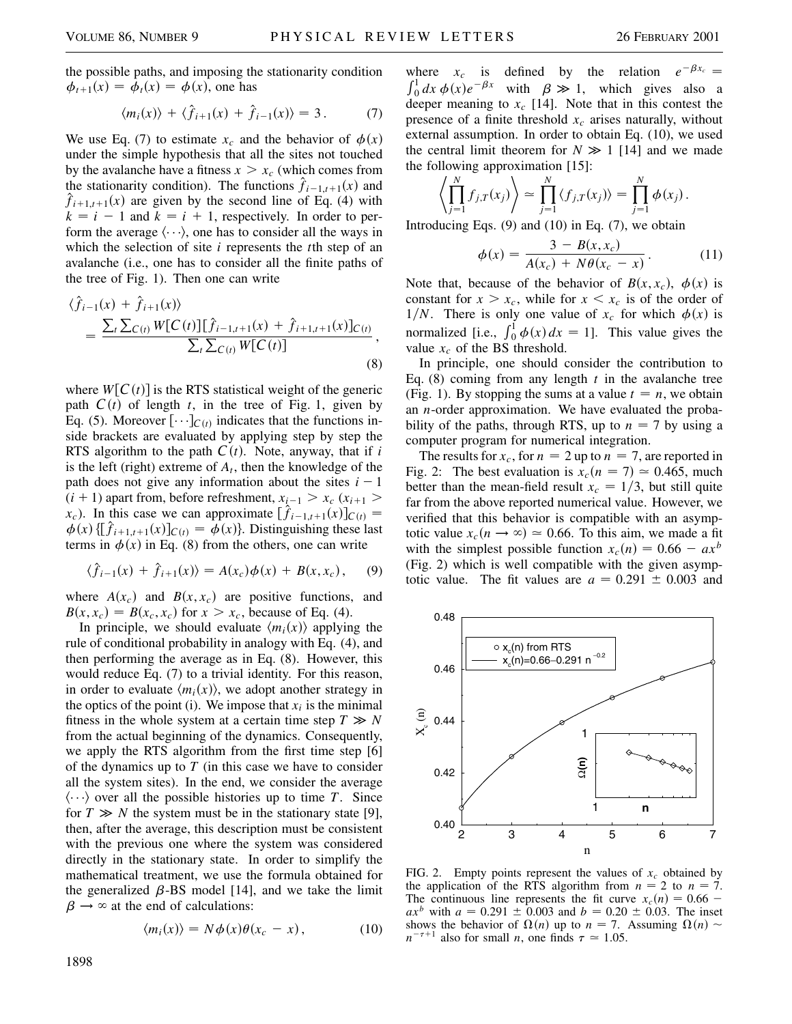the possible paths, and imposing the stationarity condition  $\phi_{t+1}(x) = \phi_t(x) = \phi(x)$ , one has

$$
\langle m_i(x) \rangle + \langle \hat{f}_{i+1}(x) + \hat{f}_{i-1}(x) \rangle = 3. \tag{7}
$$

We use Eq. (7) to estimate  $x_c$  and the behavior of  $\phi(x)$ under the simple hypothesis that all the sites not touched by the avalanche have a fitness  $x > x_c$  (which comes from the stationarity condition). The functions  $\hat{f}_{i-1,t+1}(x)$  and  $\hat{f}_{i+1,t+1}(x)$  are given by the second line of Eq. (4) with  $k = i - 1$  and  $k = i + 1$ , respectively. In order to perform the average  $\langle \cdots \rangle$ , one has to consider all the ways in which the selection of site *i* represents the *t*th step of an avalanche (i.e., one has to consider all the finite paths of the tree of Fig. 1). Then one can write

$$
\langle \hat{f}_{i-1}(x) + \hat{f}_{i+1}(x) \rangle
$$
  
= 
$$
\frac{\sum_{t} \sum_{C(t)} W[C(t)][\hat{f}_{i-1,t+1}(x) + \hat{f}_{i+1,t+1}(x)]_{C(t)}}{\sum_{t} \sum_{C(t)} W[C(t)]},
$$
(8)

where  $W[C(t)]$  is the RTS statistical weight of the generic path  $C(t)$  of length *t*, in the tree of Fig. 1, given by Eq. (5). Moreover  $[\cdots]_{C(t)}$  indicates that the functions inside brackets are evaluated by applying step by step the RTS algorithm to the path  $C(t)$ . Note, anyway, that if *i* is the left (right) extreme of  $A_t$ , then the knowledge of the path does not give any information about the sites  $i - 1$  $(i + 1)$  apart from, before refreshment,  $x_{i-1} > x_c$  ( $x_{i+1} >$ *x<sub>c</sub>*). In this case we can approximate  $[\hat{f}_{i-1,t+1}(x)]_{C(t)} =$  $\phi(x) \left\{ \left[ \hat{f}_{i+1,t+1}(x) \right] \right\}$ *c*<sub>(t)</sub> =  $\phi(x)$ . Distinguishing these last terms in  $\phi(x)$  in Eq. (8) from the others, one can write

$$
\langle \hat{f}_{i-1}(x) + \hat{f}_{i+1}(x) \rangle = A(x_c) \phi(x) + B(x, x_c),
$$
 (9)

where  $A(x_c)$  and  $B(x, x_c)$  are positive functions, and  $B(x, x_c) = B(x_c, x_c)$  for  $x > x_c$ , because of Eq. (4).

In principle, we should evaluate  $\langle m_i(x) \rangle$  applying the rule of conditional probability in analogy with Eq. (4), and then performing the average as in Eq. (8). However, this would reduce Eq. (7) to a trivial identity. For this reason, in order to evaluate  $\langle m_i(x) \rangle$ , we adopt another strategy in the optics of the point (i). We impose that  $x_i$  is the minimal fitness in the whole system at a certain time step  $T \gg N$ from the actual beginning of the dynamics. Consequently, we apply the RTS algorithm from the first time step [6] of the dynamics up to *T* (in this case we have to consider all the system sites). In the end, we consider the average  $\langle \cdots \rangle$  over all the possible histories up to time *T*. Since for  $T \gg N$  the system must be in the stationary state [9], then, after the average, this description must be consistent with the previous one where the system was considered directly in the stationary state. In order to simplify the mathematical treatment, we use the formula obtained for the generalized  $\beta$ -BS model [14], and we take the limit  $\beta \rightarrow \infty$  at the end of calculations:

$$
\langle m_i(x) \rangle = N\phi(x)\theta(x_c - x), \qquad (10)
$$

where  $x_c$  is defined by the relation  $e^{-\beta x_c} =$ where  $x_c$  is defined by the relation  $\int_0^1 dx \phi(x)e^{-\beta x}$  with  $\beta \gg 1$ , which gives also a deeper meaning to  $x_c$  [14]. Note that in this contest the presence of a finite threshold  $x_c$  arises naturally, without external assumption. In order to obtain Eq. (10), we used the central limit theorem for  $N \gg 1$  [14] and we made the following approximation [15]:

$$
\left\langle \prod_{j=1}^N f_{j,T}(x_j) \right\rangle \simeq \prod_{j=1}^N \left\langle f_{j,T}(x_j) \right\rangle = \prod_{j=1}^N \phi(x_j).
$$

Introducing Eqs.  $(9)$  and  $(10)$  in Eq.  $(7)$ , we obtain

$$
\phi(x) = \frac{3 - B(x, x_c)}{A(x_c) + N\theta(x_c - x)}.
$$
\n(11)

Note that, because of the behavior of  $B(x, x_c)$ ,  $\phi(x)$  is constant for  $x > x_c$ , while for  $x < x_c$  is of the order of 1/*N*. There is only one value of  $x_c$  for which  $\phi(x)$  is normalized [i.e.,  $\int_0^1 \phi(x) dx = 1$ ]. This value gives the value  $x_c$  of the BS threshold.

In principle, one should consider the contribution to Eq. (8) coming from any length *t* in the avalanche tree (Fig. 1). By stopping the sums at a value  $t = n$ , we obtain an *n*-order approximation. We have evaluated the probability of the paths, through RTS, up to  $n = 7$  by using a computer program for numerical integration.

The results for  $x_c$ , for  $n = 2$  up to  $n = 7$ , are reported in Fig. 2: The best evaluation is  $x_c(n = 7) \approx 0.465$ , much better than the mean-field result  $x_c = 1/3$ , but still quite far from the above reported numerical value. However, we verified that this behavior is compatible with an asymptotic value  $x_c(n \to \infty) \approx 0.66$ . To this aim, we made a fit with the simplest possible function  $x_c(n) = 0.66 - ax^b$ (Fig. 2) which is well compatible with the given asymptotic value. The fit values are  $a = 0.291 \pm 0.003$  and



FIG. 2. Empty points represent the values of  $x_c$  obtained by the application of the RTS algorithm from  $n = 2$  to  $n = 7$ . The continuous line represents the fit curve  $x_c(n) = 0.66$  $ax^b$  with  $a = 0.291 \pm 0.003$  and  $b = 0.20 \pm 0.03$ . The inset shows the behavior of  $\Omega(n)$  up to  $n = 7$ . Assuming  $\Omega(n)$  $n^{-\tau+1}$  also for small *n*, one finds  $\tau \approx 1.05$ .